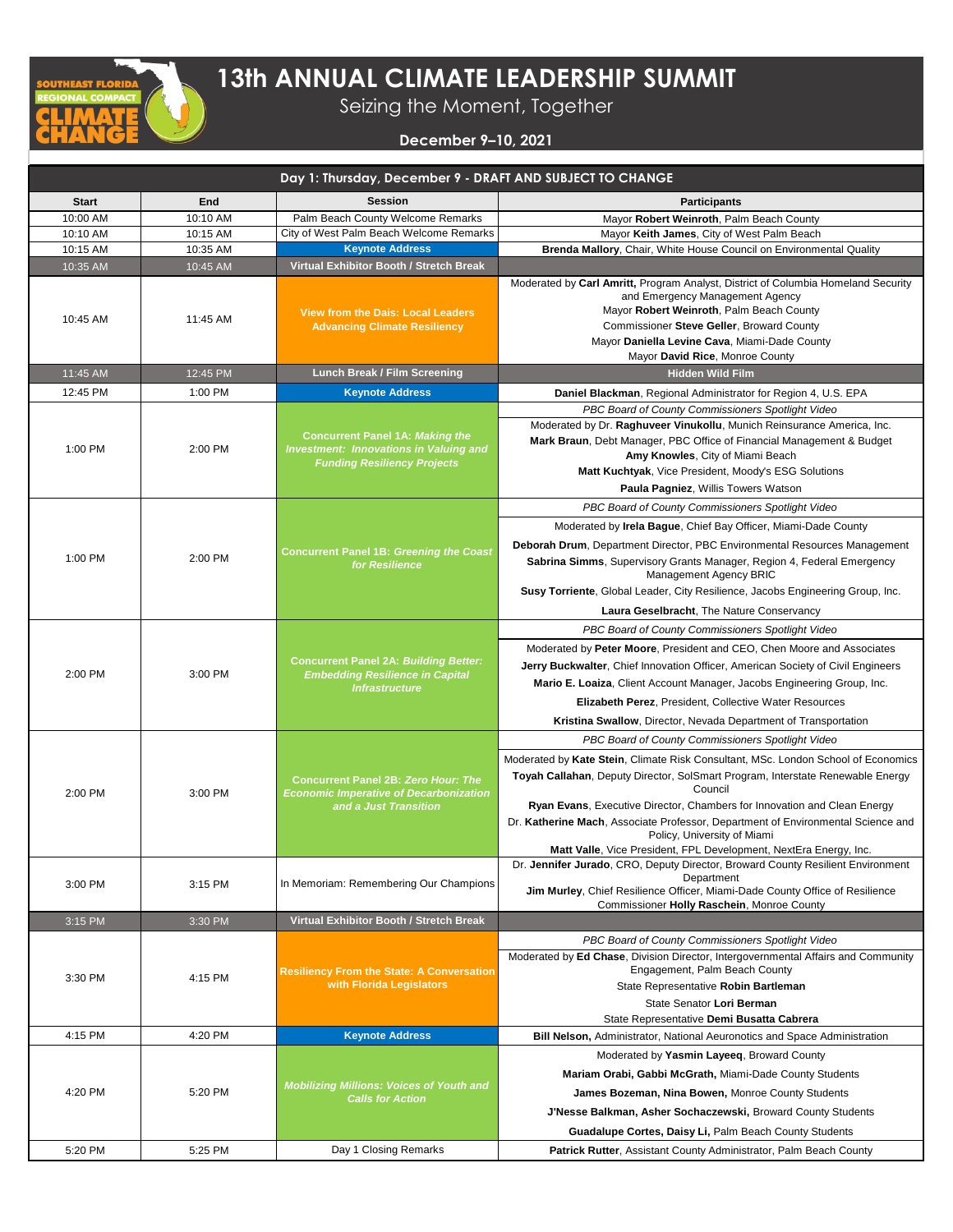

# **13th ANNUAL CLIMATE LEADERSHIP SUMMIT**

Seizing the Moment, Together

### **December 9–10, 2021**

| Day 1: Thursday, December 9 - DRAFT AND SUBJECT TO CHANGE |          |                                                                                                                               |                                                                                                                                                                                                                                                                                                   |  |
|-----------------------------------------------------------|----------|-------------------------------------------------------------------------------------------------------------------------------|---------------------------------------------------------------------------------------------------------------------------------------------------------------------------------------------------------------------------------------------------------------------------------------------------|--|
| <b>Start</b>                                              | End      | <b>Session</b>                                                                                                                | <b>Participants</b>                                                                                                                                                                                                                                                                               |  |
| 10:00 AM                                                  | 10:10 AM | Palm Beach County Welcome Remarks                                                                                             | Mayor Robert Weinroth, Palm Beach County                                                                                                                                                                                                                                                          |  |
| 10:10 AM                                                  | 10:15 AM | City of West Palm Beach Welcome Remarks                                                                                       | Mayor Keith James, City of West Palm Beach                                                                                                                                                                                                                                                        |  |
| 10:15 AM                                                  | 10:35 AM | <b>Keynote Address</b>                                                                                                        | Brenda Mallory, Chair, White House Council on Environmental Quality                                                                                                                                                                                                                               |  |
| 10:35 AM                                                  | 10:45 AM | Virtual Exhibitor Booth / Stretch Break                                                                                       |                                                                                                                                                                                                                                                                                                   |  |
| 10:45 AM                                                  | 11:45 AM | <b>View from the Dais: Local Leaders</b><br><b>Advancing Climate Resiliency</b>                                               | Moderated by Carl Amritt, Program Analyst, District of Columbia Homeland Security<br>and Emergency Management Agency<br>Mayor Robert Weinroth, Palm Beach County<br>Commissioner Steve Geller, Broward County<br>Mayor Daniella Levine Cava, Miami-Dade County<br>Mayor David Rice, Monroe County |  |
| 11:45 AM                                                  | 12:45 PM | <b>Lunch Break / Film Screening</b>                                                                                           | <b>Hidden Wild Film</b>                                                                                                                                                                                                                                                                           |  |
| 12:45 PM                                                  | 1:00 PM  | <b>Keynote Address</b>                                                                                                        | Daniel Blackman, Regional Administrator for Region 4, U.S. EPA                                                                                                                                                                                                                                    |  |
|                                                           |          |                                                                                                                               | PBC Board of County Commissioners Spotlight Video                                                                                                                                                                                                                                                 |  |
| 1:00 PM                                                   | 2:00 PM  | <b>Concurrent Panel 1A: Making the</b><br><b>Investment: Innovations in Valuing and</b><br><b>Funding Resiliency Projects</b> | Moderated by Dr. Raghuveer Vinukollu, Munich Reinsurance America, Inc.<br>Mark Braun, Debt Manager, PBC Office of Financial Management & Budget<br>Amy Knowles, City of Miami Beach<br>Matt Kuchtyak, Vice President, Moody's ESG Solutions<br>Paula Pagniez, Willis Towers Watson                |  |
|                                                           |          | <b>Concurrent Panel 1B: Greening the Coast</b><br>for Resilience                                                              | PBC Board of County Commissioners Spotlight Video                                                                                                                                                                                                                                                 |  |
|                                                           | 2:00 PM  |                                                                                                                               | Moderated by Irela Bague, Chief Bay Officer, Miami-Dade County                                                                                                                                                                                                                                    |  |
| 1:00 PM                                                   |          |                                                                                                                               |                                                                                                                                                                                                                                                                                                   |  |
|                                                           |          |                                                                                                                               | Deborah Drum, Department Director, PBC Environmental Resources Management<br><b>Sabrina Simms, Supervisory Grants Manager, Region 4, Federal Emergency</b><br>Management Agency BRIC                                                                                                              |  |
|                                                           |          |                                                                                                                               | Susy Torriente, Global Leader, City Resilience, Jacobs Engineering Group, Inc.                                                                                                                                                                                                                    |  |
|                                                           |          |                                                                                                                               | Laura Geselbracht, The Nature Conservancy                                                                                                                                                                                                                                                         |  |
|                                                           | 3:00 PM  | <b>Concurrent Panel 2A: Building Better:</b><br><b>Embedding Resilience in Capital</b><br><b>Infrastructure</b>               | PBC Board of County Commissioners Spotlight Video                                                                                                                                                                                                                                                 |  |
|                                                           |          |                                                                                                                               | Moderated by Peter Moore, President and CEO, Chen Moore and Associates                                                                                                                                                                                                                            |  |
|                                                           |          |                                                                                                                               | Jerry Buckwalter, Chief Innovation Officer, American Society of Civil Engineers                                                                                                                                                                                                                   |  |
| 2:00 PM                                                   |          |                                                                                                                               | Mario E. Loaiza, Client Account Manager, Jacobs Engineering Group, Inc.                                                                                                                                                                                                                           |  |
|                                                           |          |                                                                                                                               | Elizabeth Perez, President, Collective Water Resources                                                                                                                                                                                                                                            |  |
|                                                           |          |                                                                                                                               |                                                                                                                                                                                                                                                                                                   |  |
|                                                           |          |                                                                                                                               | Kristina Swallow, Director, Nevada Department of Transportation                                                                                                                                                                                                                                   |  |
|                                                           | 3:00 PM  | <b>Concurrent Panel 2B: Zero Hour: The</b><br><b>Economic Imperative of Decarbonization</b><br>and a Just Transition          | PBC Board of County Commissioners Spotlight Video                                                                                                                                                                                                                                                 |  |
|                                                           |          |                                                                                                                               | Moderated by Kate Stein, Climate Risk Consultant, MSc. London School of Economics                                                                                                                                                                                                                 |  |
|                                                           |          |                                                                                                                               | Toyah Callahan, Deputy Director, SolSmart Program, Interstate Renewable Energy                                                                                                                                                                                                                    |  |
| 2:00 PM                                                   |          |                                                                                                                               | Council                                                                                                                                                                                                                                                                                           |  |
|                                                           |          |                                                                                                                               | Ryan Evans, Executive Director, Chambers for Innovation and Clean Energy<br>Dr. Katherine Mach, Associate Professor, Department of Environmental Science and                                                                                                                                      |  |
|                                                           |          |                                                                                                                               | Policy, University of Miami                                                                                                                                                                                                                                                                       |  |
|                                                           |          |                                                                                                                               | Matt Valle, Vice President, FPL Development, NextEra Energy, Inc.                                                                                                                                                                                                                                 |  |
|                                                           | 3:15 PM  | In Memoriam: Remembering Our Champions                                                                                        | Dr. Jennifer Jurado, CRO, Deputy Director, Broward County Resilient Environment                                                                                                                                                                                                                   |  |
| 3:00 PM                                                   |          |                                                                                                                               | Department<br>Jim Murley, Chief Resilience Officer, Miami-Dade County Office of Resilience                                                                                                                                                                                                        |  |
|                                                           |          |                                                                                                                               | Commissioner Holly Raschein, Monroe County                                                                                                                                                                                                                                                        |  |
| 3:15 PM                                                   | 3:30 PM  | Virtual Exhibitor Booth / Stretch Break                                                                                       |                                                                                                                                                                                                                                                                                                   |  |
| 3:30 PM                                                   | 4:15 PM  | <b>Resiliency From the State: A Conversation</b><br>with Florida Legislators                                                  | PBC Board of County Commissioners Spotlight Video                                                                                                                                                                                                                                                 |  |
|                                                           |          |                                                                                                                               | Moderated by Ed Chase, Division Director, Intergovernmental Affairs and Community                                                                                                                                                                                                                 |  |
|                                                           |          |                                                                                                                               | Engagement, Palm Beach County                                                                                                                                                                                                                                                                     |  |
|                                                           |          |                                                                                                                               | State Representative Robin Bartleman                                                                                                                                                                                                                                                              |  |
|                                                           |          |                                                                                                                               | State Senator Lori Berman                                                                                                                                                                                                                                                                         |  |
|                                                           |          |                                                                                                                               | State Representative Demi Busatta Cabrera                                                                                                                                                                                                                                                         |  |
| 4:15 PM                                                   | 4:20 PM  | <b>Keynote Address</b>                                                                                                        | Bill Nelson, Administrator, National Aeuronotics and Space Administration                                                                                                                                                                                                                         |  |
| 4:20 PM                                                   | 5:20 PM  | <b>Mobilizing Millions: Voices of Youth and</b><br><b>Calls for Action</b>                                                    | Moderated by Yasmin Layeeq, Broward County                                                                                                                                                                                                                                                        |  |
|                                                           |          |                                                                                                                               | Mariam Orabi, Gabbi McGrath, Miami-Dade County Students                                                                                                                                                                                                                                           |  |
|                                                           |          |                                                                                                                               | James Bozeman, Nina Bowen, Monroe County Students                                                                                                                                                                                                                                                 |  |
|                                                           |          |                                                                                                                               | J'Nesse Balkman, Asher Sochaczewski, Broward County Students                                                                                                                                                                                                                                      |  |
|                                                           |          |                                                                                                                               | Guadalupe Cortes, Daisy Li, Palm Beach County Students                                                                                                                                                                                                                                            |  |
| 5:20 PM                                                   | 5:25 PM  | Day 1 Closing Remarks                                                                                                         | Patrick Rutter, Assistant County Administrator, Palm Beach County                                                                                                                                                                                                                                 |  |